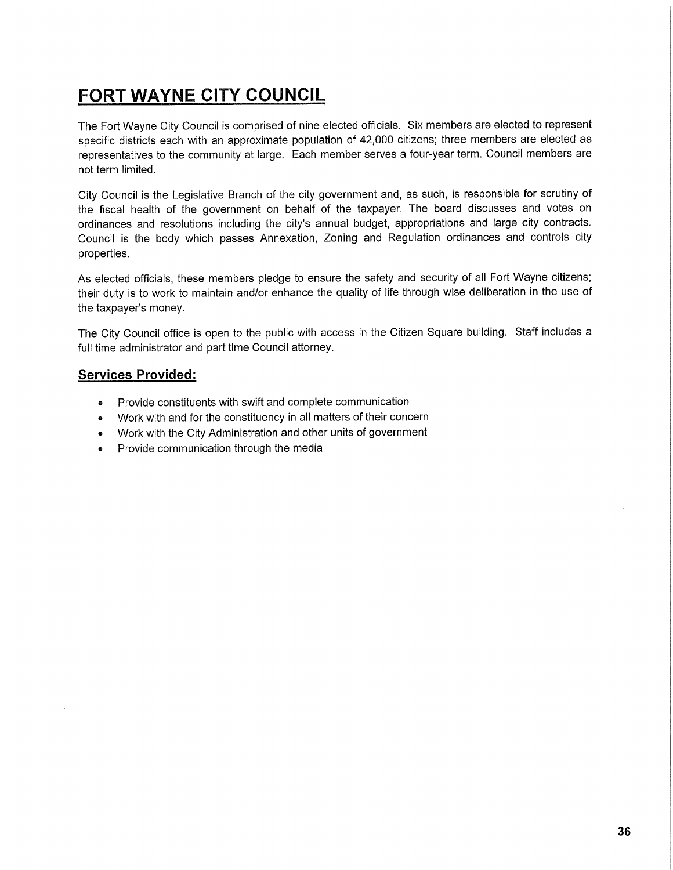## **FORT WAYNE CITY COUNCIL**

The Fort Wayne City Council is comprised of nine elected officials. Six members are elected to represent specific districts each with an approximate population of 42,000 citizens; three members are elected as representatives to the community at large. Each member serves a four-year term. Council members are not term limited.

City Council is the Legislative Branch of the city government and, as such, is responsible for scrutiny of the fiscal health of the government on behalf of the taxpayer. The board discusses and votes on ordinances and resolutions including the city's annual budget, appropriations and large city contracts. Council is the body which passes Annexation, Zoning and Regulation ordinances and controls city properties.

As elected officials, these members pledge to ensure the safety and security of all Fort Wayne citizens; their duty is to work to maintain and/or enhance the quality of life through wise deliberation in the use of the taxpayer's money.

The City Council office is open to the public with access in the Citizen Square building. Staff includes a full time administrator and part time Council attorney.

## **Services Provided:**

- Provide constituents with swift and complete communication
- » Work with and for the constituency in all matters of their concern
- Work with the City Administration and other units of government
- Provide communication through the media